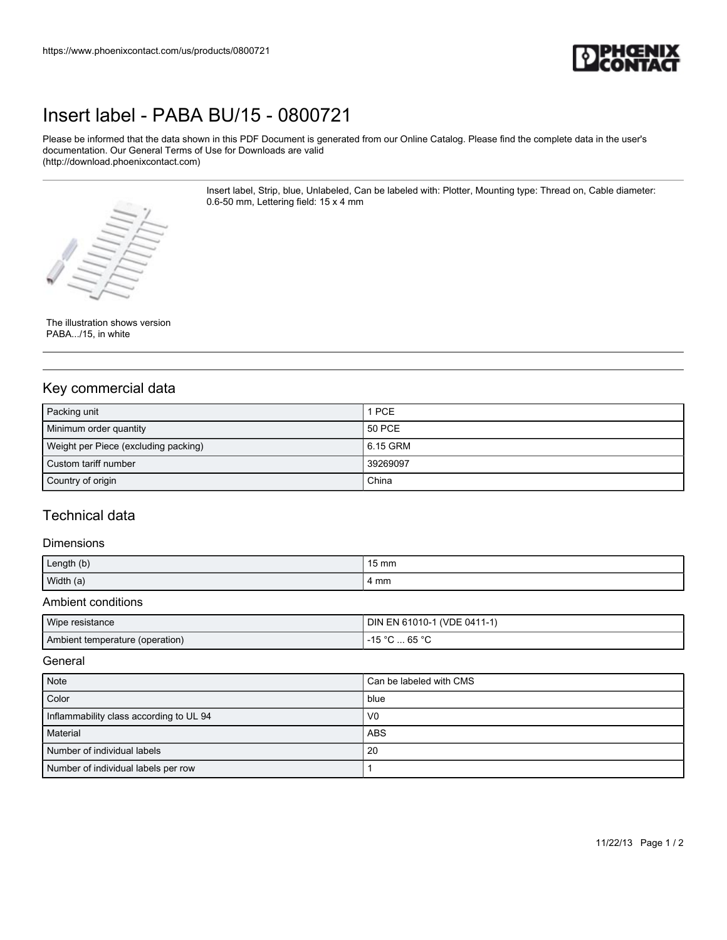

## [Insert label - PABA BU/15 - 0800721](https://www.phoenixcontact.com/us/products/0800721)

Please be informed that the data shown in this PDF Document is generated from our Online Catalog. Please find the complete data in the user's documentation. Our General Terms of Use for Downloads are valid (http://download.phoenixcontact.com)

> Insert label, Strip, blue, Unlabeled, Can be labeled with: Plotter, Mounting type: Thread on, Cable diameter: 0.6-50 mm, Lettering field: 15 x 4 mm



#### The illustration shows version PABA.../15, in white

## Key commercial data

| Packing unit                         | 1 PCE      |
|--------------------------------------|------------|
| Minimum order quantity               | 50 PCE     |
| Weight per Piece (excluding packing) | l 6.15 GRM |
| Custom tariff number                 | 39269097   |
| Country of origin                    | China      |

### Technical data

#### Dimensions

| Length (b) | $15 \text{ mm}$ |
|------------|-----------------|
| Width (a)  | 4 mm            |

#### Ambient conditions

| Wipe resistance                 | DIN EN 61010-1 (VDE 0411-1) |
|---------------------------------|-----------------------------|
| Ambient temperature (operation) | . 65 °C<br>$4E^{\circ}$     |

#### **General**

| Note                                    | Can be labeled with CMS |
|-----------------------------------------|-------------------------|
| Color                                   | blue                    |
| Inflammability class according to UL 94 | V <sub>0</sub>          |
| Material                                | ABS                     |
| Number of individual labels             | 20                      |
| Number of individual labels per row     |                         |